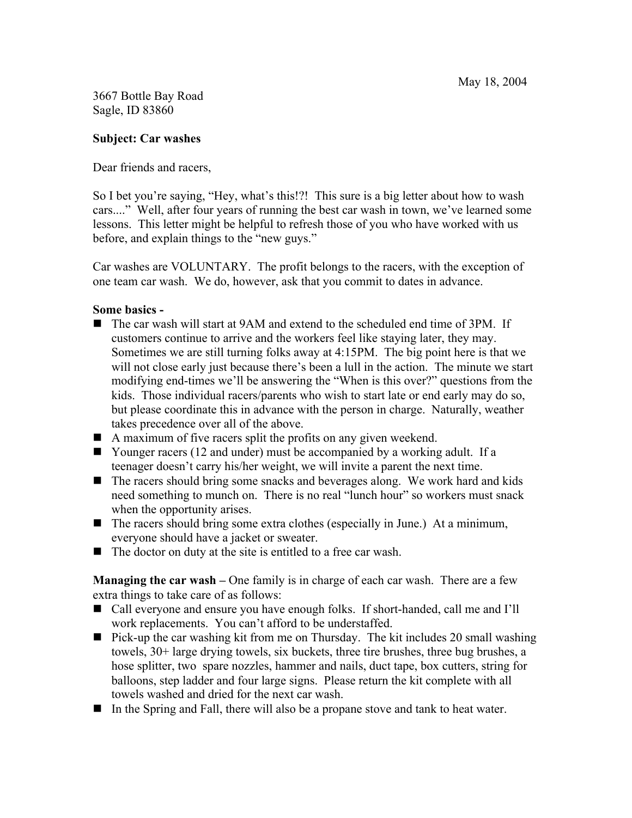3667 Bottle Bay Road Sagle, ID 83860

### Subject: Car washes

Dear friends and racers,

So I bet you're saying, "Hey, what's this!?! This sure is a big letter about how to wash cars...." Well, after four years of running the best car wash in town, we've learned some lessons. This letter might be helpful to refresh those of you who have worked with us before, and explain things to the "new guys."

Car washes are VOLUNTARY. The profit belongs to the racers, with the exception of one team car wash. We do, however, ask that you commit to dates in advance.

#### Some basics -

- The car wash will start at 9AM and extend to the scheduled end time of 3PM. If customers continue to arrive and the workers feel like staying later, they may. Sometimes we are still turning folks away at 4:15PM. The big point here is that we will not close early just because there's been a lull in the action. The minute we start modifying end-times we'll be answering the "When is this over?" questions from the kids. Those individual racers/parents who wish to start late or end early may do so, but please coordinate this in advance with the person in charge. Naturally, weather takes precedence over all of the above.
- A maximum of five racers split the profits on any given weekend.
- Younger racers (12 and under) must be accompanied by a working adult. If a teenager doesn't carry his/her weight, we will invite a parent the next time.
- The racers should bring some snacks and beverages along. We work hard and kids need something to munch on. There is no real "lunch hour" so workers must snack when the opportunity arises.
- $\blacksquare$  The racers should bring some extra clothes (especially in June.) At a minimum, everyone should have a jacket or sweater.
- $\blacksquare$  The doctor on duty at the site is entitled to a free car wash.

**Managing the car wash** – One family is in charge of each car wash. There are a few extra things to take care of as follows:

- Call everyone and ensure you have enough folks. If short-handed, call me and I'll work replacements. You can't afford to be understaffed.
- **Pick-up the car washing kit from me on Thursday.** The kit includes 20 small washing towels, 30+ large drying towels, six buckets, three tire brushes, three bug brushes, a hose splitter, two spare nozzles, hammer and nails, duct tape, box cutters, string for balloons, step ladder and four large signs. Please return the kit complete with all towels washed and dried for the next car wash.
- In the Spring and Fall, there will also be a propane stove and tank to heat water.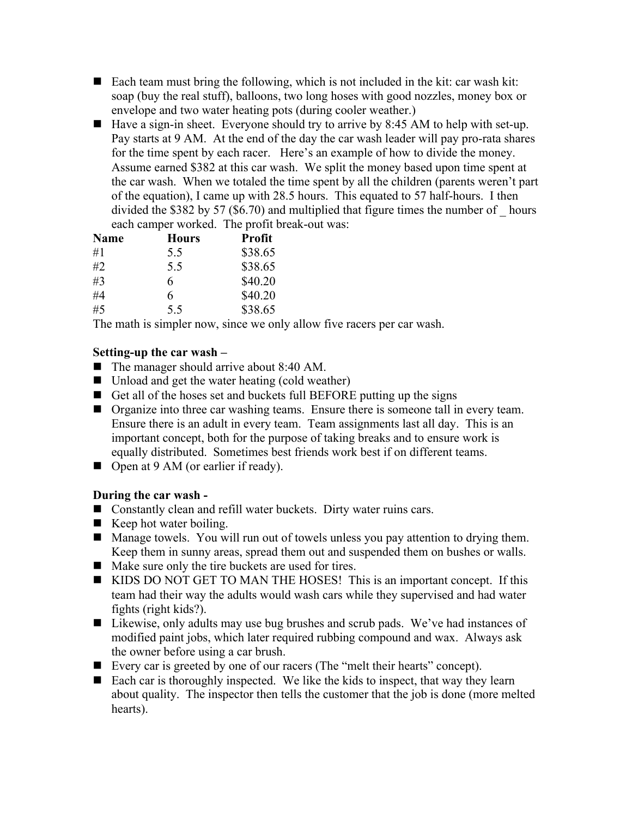- Each team must bring the following, which is not included in the kit: car wash kit: soap (buy the real stuff), balloons, two long hoses with good nozzles, money box or envelope and two water heating pots (during cooler weather.)
- $\blacksquare$  Have a sign-in sheet. Everyone should try to arrive by 8:45 AM to help with set-up. Pay starts at 9 AM. At the end of the day the car wash leader will pay pro-rata shares for the time spent by each racer. Here's an example of how to divide the money. Assume earned \$382 at this car wash. We split the money based upon time spent at the car wash. When we totaled the time spent by all the children (parents weren't part of the equation), I came up with 28.5 hours. This equated to 57 half-hours. I then divided the \$382 by 57 (\$6.70) and multiplied that figure times the number of \_ hours each camper worked. The profit break-out was:

| <b>Name</b> | <b>Hours</b> | <b>Profit</b> |
|-------------|--------------|---------------|
| #1          | 5.5          | \$38.65       |
| #2          | 5.5          | \$38.65       |
| #3          | 6            | \$40.20       |
| #4          | 6            | \$40.20       |
| #5          | 5.5          | \$38.65       |

The math is simpler now, since we only allow five racers per car wash.

## Setting-up the car wash –

- The manager should arrive about 8:40 AM.
- Unload and get the water heating (cold weather)
- Get all of the hoses set and buckets full BEFORE putting up the signs
- **Organize into three car washing teams.** Ensure there is someone tall in every team. Ensure there is an adult in every team. Team assignments last all day. This is an important concept, both for the purpose of taking breaks and to ensure work is equally distributed. Sometimes best friends work best if on different teams.
- Open at 9 AM (or earlier if ready).

# During the car wash -

- Constantly clean and refill water buckets. Dirty water ruins cars.
- $\blacksquare$  Keep hot water boiling.
- Manage towels. You will run out of towels unless you pay attention to drying them. Keep them in sunny areas, spread them out and suspended them on bushes or walls.
- Make sure only the tire buckets are used for tires.
- KIDS DO NOT GET TO MAN THE HOSES! This is an important concept. If this team had their way the adults would wash cars while they supervised and had water fights (right kids?).
- Likewise, only adults may use bug brushes and scrub pads. We've had instances of modified paint jobs, which later required rubbing compound and wax. Always ask the owner before using a car brush.
- Every car is greeted by one of our racers (The "melt their hearts" concept).
- Each car is thoroughly inspected. We like the kids to inspect, that way they learn about quality. The inspector then tells the customer that the job is done (more melted hearts).